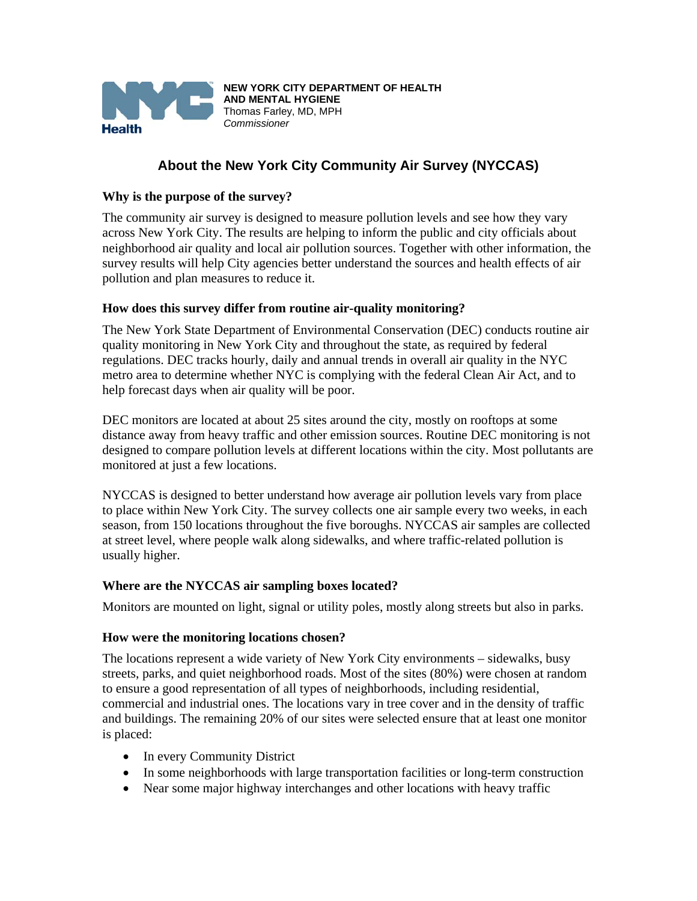

# **About the New York City Community Air Survey (NYCCAS)**

#### **Why is the purpose of the survey?**

The community air survey is designed to measure pollution levels and see how they vary across New York City. The results are helping to inform the public and city officials about neighborhood air quality and local air pollution sources. Together with other information, the survey results will help City agencies better understand the sources and health effects of air pollution and plan measures to reduce it.

#### **How does this survey differ from routine air-quality monitoring?**

The New York State Department of Environmental Conservation (DEC) conducts routine air quality monitoring in New York City and throughout the state, as required by federal regulations. DEC tracks hourly, daily and annual trends in overall air quality in the NYC metro area to determine whether NYC is complying with the federal Clean Air Act, and to help forecast days when air quality will be poor.

DEC monitors are located at about 25 sites around the city, mostly on rooftops at some distance away from heavy traffic and other emission sources. Routine DEC monitoring is not designed to compare pollution levels at different locations within the city. Most pollutants are monitored at just a few locations.

NYCCAS is designed to better understand how average air pollution levels vary from place to place within New York City. The survey collects one air sample every two weeks, in each season, from 150 locations throughout the five boroughs. NYCCAS air samples are collected at street level, where people walk along sidewalks, and where traffic-related pollution is usually higher.

#### **Where are the NYCCAS air sampling boxes located?**

Monitors are mounted on light, signal or utility poles, mostly along streets but also in parks.

#### **How were the monitoring locations chosen?**

The locations represent a wide variety of New York City environments – sidewalks, busy streets, parks, and quiet neighborhood roads. Most of the sites (80%) were chosen at random to ensure a good representation of all types of neighborhoods, including residential, commercial and industrial ones. The locations vary in tree cover and in the density of traffic and buildings. The remaining 20% of our sites were selected ensure that at least one monitor is placed:

- In every Community District
- In some neighborhoods with large transportation facilities or long-term construction
- Near some major highway interchanges and other locations with heavy traffic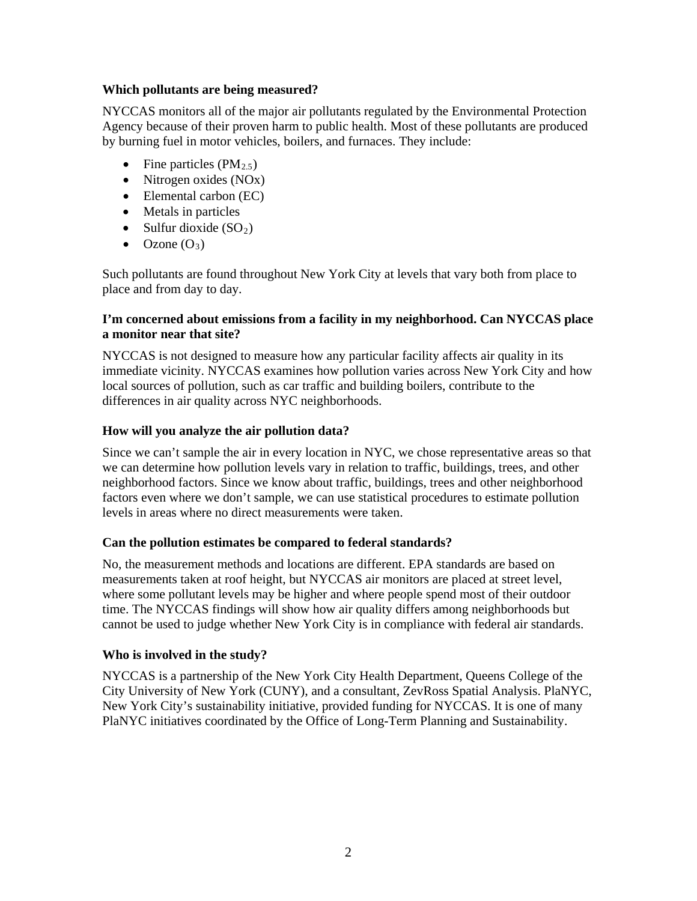#### **Which pollutants are being measured?**

NYCCAS monitors all of the major air pollutants regulated by the Environmental Protection Agency because of their proven harm to public health. Most of these pollutants are produced by burning fuel in motor vehicles, boilers, and furnaces. They include:

- Fine particles  $(PM_{2.5})$
- Nitrogen oxides (NO<sub>x</sub>)
- Elemental carbon (EC)
- Metals in particles
- Sulfur dioxide  $(SO<sub>2</sub>)$
- $\bullet$  Ozone  $(O_3)$

Such pollutants are found throughout New York City at levels that vary both from place to place and from day to day.

# **I'm concerned about emissions from a facility in my neighborhood. Can NYCCAS place a monitor near that site?**

NYCCAS is not designed to measure how any particular facility affects air quality in its immediate vicinity. NYCCAS examines how pollution varies across New York City and how local sources of pollution, such as car traffic and building boilers, contribute to the differences in air quality across NYC neighborhoods.

# **How will you analyze the air pollution data?**

Since we can't sample the air in every location in NYC, we chose representative areas so that we can determine how pollution levels vary in relation to traffic, buildings, trees, and other neighborhood factors. Since we know about traffic, buildings, trees and other neighborhood factors even where we don't sample, we can use statistical procedures to estimate pollution levels in areas where no direct measurements were taken.

#### **Can the pollution estimates be compared to federal standards?**

No, the measurement methods and locations are different. EPA standards are based on measurements taken at roof height, but NYCCAS air monitors are placed at street level, where some pollutant levels may be higher and where people spend most of their outdoor time. The NYCCAS findings will show how air quality differs among neighborhoods but cannot be used to judge whether New York City is in compliance with federal air standards.

# **Who is involved in the study?**

NYCCAS is a partnership of the New York City Health Department, Queens College of the City University of New York (CUNY), and a consultant, ZevRoss Spatial Analysis. PlaNYC, New York City's sustainability initiative, provided funding for NYCCAS. It is one of many PlaNYC initiatives coordinated by the Office of Long-Term Planning and Sustainability.